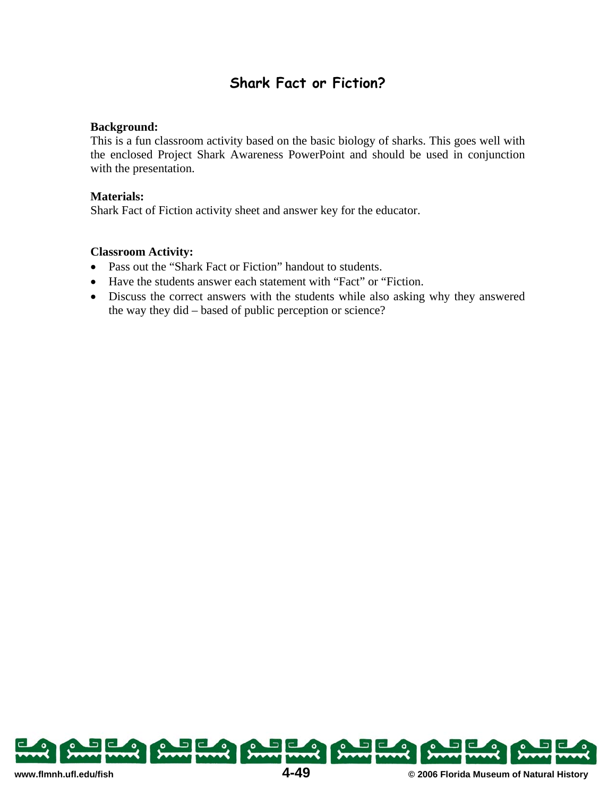## **Shark Fact or Fiction?**

## **Background:**

This is a fun classroom activity based on the basic biology of sharks. This goes well with the enclosed Project Shark Awareness PowerPoint and should be used in conjunction with the presentation.

## **Materials:**

Shark Fact of Fiction activity sheet and answer key for the educator.

## **Classroom Activity:**

- Pass out the "Shark Fact or Fiction" handout to students.
- Have the students answer each statement with "Fact" or "Fiction.
- Discuss the correct answers with the students while also asking why they answered the way they did – based of public perception or science?

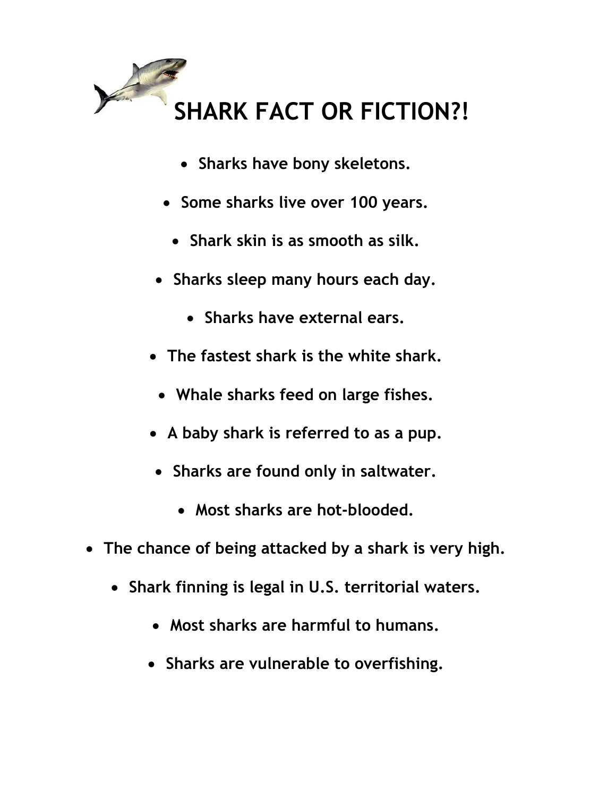

- **Sharks have bony skeletons.**
- **Some sharks live over 100 years.** 
	- Shark skin is as smooth as silk.
- **Sharks sleep many hours each day.** 
	- x **Sharks have external ears.**
- x **The fastest shark is the white shark.**
	- x **Whale sharks feed on large fishes.**
- x **A baby shark is referred to as a pup.**
- x **Sharks are found only in saltwater.**
	- Most sharks are hot-blooded.
- **•** The chance of being attacked by a shark is very high.
	- x **Shark finning is legal in U.S. territorial waters.**
		- x **Most sharks are harmful to humans.**
		- x **Sharks are vulnerable to overfishing.**